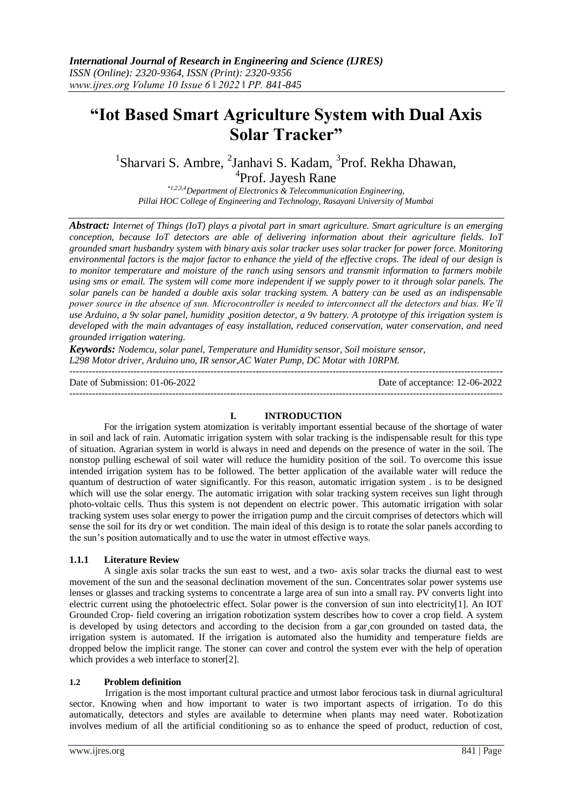# **"Iot Based Smart Agriculture System with Dual Axis Solar Tracker"**

<sup>1</sup>Sharvari S. Ambre, <sup>2</sup>Janhavi S. Kadam, <sup>3</sup>Prof. Rekha Dhawan, <sup>4</sup>Prof. Jayesh Rane

*\*1,2,3,4Department of Electronics & Telecommunication Engineering, Pillai HOC College of Engineering and Technology, Rasayani University of Mumbai*

*Abstract: Internet of Things (IoT) plays a pivotal part in smart agriculture. Smart agriculture is an emerging conception, because IoT detectors are able of delivering information about their agriculture fields. IoT grounded smart husbandry system with binary axis solar tracker uses solar tracker for power force. Monitoring environmental factors is the major factor to enhance the yield of the effective crops. The ideal of our design is to monitor temperature and moisture of the ranch using sensors and transmit information to farmers mobile using sms or email. The system will come more independent if we supply power to it through solar panels. The solar panels can be handed a double axis solar tracking system. A battery can be used as an indispensable power source in the absence of sun. Microcontroller is needed to interconnect all the detectors and bias. We'll use Arduino, a 9v solar panel, humidity ,position detector, a 9v battery. A prototype of this irrigation system is developed with the main advantages of easy installation, reduced conservation, water conservation, and need grounded irrigation watering*.

*Keywords: Nodemcu, solar panel, Temperature and Humidity sensor, Soil moisture sensor, L298 Motor driver, Arduino uno, IR sensor,AC Water Pump, DC Motar with 10RPM.* 

Date of Submission: 01-06-2022 Date of acceptance: 12-06-2022 ---------------------------------------------------------------------------------------------------------------------------------------

# **I. INTRODUCTION**

---------------------------------------------------------------------------------------------------------------------------------------

For the irrigation system atomization is veritably important essential because of the shortage of water in soil and lack of rain. Automatic irrigation system with solar tracking is the indispensable result for this type of situation. Agrarian system in world is always in need and depends on the presence of water in the soil. The nonstop pulling eschewal of soil water will reduce the humidity position of the soil. To overcome this issue intended irrigation system has to be followed. The better application of the available water will reduce the quantum of destruction of water significantly. For this reason, automatic irrigation system . is to be designed which will use the solar energy. The automatic irrigation with solar tracking system receives sun light through photo-voltaic cells. Thus this system is not dependent on electric power. This automatic irrigation with solar tracking system uses solar energy to power the irrigation pump and the circuit comprises of detectors which will sense the soil for its dry or wet condition. The main ideal of this design is to rotate the solar panels according to the sun's position automatically and to use the water in utmost effective ways.

# **1.1.1 Literature Review**

A single axis solar tracks the sun east to west, and a two- axis solar tracks the diurnal east to west movement of the sun and the seasonal declination movement of the sun. Concentrates solar power systems use lenses or glasses and tracking systems to concentrate a large area of sun into a small ray. PV converts light into electric current using the photoelectric effect. Solar power is the conversion of sun into electricity[1]. An IOT Grounded Crop- field covering an irrigation robotization system describes how to cover a crop field. A system is developed by using detectors and according to the decision from a gar, con grounded on tasted data, the irrigation system is automated. If the irrigation is automated also the humidity and temperature fields are dropped below the implicit range. The stoner can cover and control the system ever with the help of operation which provides a web interface to stoner[2].

## **1.2 Problem definition**

 Irrigation is the most important cultural practice and utmost labor ferocious task in diurnal agricultural sector. Knowing when and how important to water is two important aspects of irrigation. To do this automatically, detectors and styles are available to determine when plants may need water. Robotization involves medium of all the artificial conditioning so as to enhance the speed of product, reduction of cost,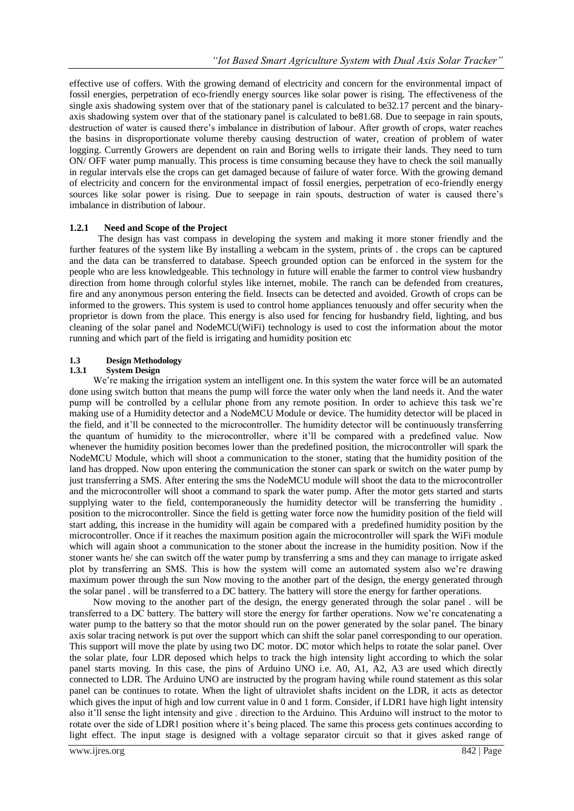effective use of coffers. With the growing demand of electricity and concern for the environmental impact of fossil energies, perpetration of eco-friendly energy sources like solar power is rising. The effectiveness of the single axis shadowing system over that of the stationary panel is calculated to be32.17 percent and the binaryaxis shadowing system over that of the stationary panel is calculated to be81.68. Due to seepage in rain spouts, destruction of water is caused there's imbalance in distribution of labour. After growth of crops, water reaches the basins in disproportionate volume thereby causing destruction of water, creation of problem of water logging. Currently Growers are dependent on rain and Boring wells to irrigate their lands. They need to turn ON/ OFF water pump manually. This process is time consuming because they have to check the soil manually in regular intervals else the crops can get damaged because of failure of water force. With the growing demand of electricity and concern for the environmental impact of fossil energies, perpetration of eco-friendly energy sources like solar power is rising. Due to seepage in rain spouts, destruction of water is caused there's imbalance in distribution of labour.

## **1.2.1 Need and Scope of the Project**

The design has vast compass in developing the system and making it more stoner friendly and the further features of the system like By installing a webcam in the system, prints of . the crops can be captured and the data can be transferred to database. Speech grounded option can be enforced in the system for the people who are less knowledgeable. This technology in future will enable the farmer to control view husbandry direction from home through colorful styles like internet, mobile. The ranch can be defended from creatures, fire and any anonymous person entering the field. Insects can be detected and avoided. Growth of crops can be informed to the growers. This system is used to control home appliances tenuously and offer security when the proprietor is down from the place. This energy is also used for fencing for husbandry field, lighting, and bus cleaning of the solar panel and NodeMCU(WiFi) technology is used to cost the information about the motor running and which part of the field is irrigating and humidity position etc

#### **1.3 Design Methodology**

#### **1.3.1 System Design**

We're making the irrigation system an intelligent one. In this system the water force will be an automated done using switch button that means the pump will force the water only when the land needs it. And the water pump will be controlled by a cellular phone from any remote position. In order to achieve this task we're making use of a Humidity detector and a NodeMCU Module or device. The humidity detector will be placed in the field, and it'll be connected to the microcontroller. The humidity detector will be continuously transferring the quantum of humidity to the microcontroller, where it'll be compared with a predefined value. Now whenever the humidity position becomes lower than the predefined position, the microcontroller will spark the NodeMCU Module, which will shoot a communication to the stoner, stating that the humidity position of the land has dropped. Now upon entering the communication the stoner can spark or switch on the water pump by just transferring a SMS. After entering the sms the NodeMCU module will shoot the data to the microcontroller and the microcontroller will shoot a command to spark the water pump. After the motor gets started and starts supplying water to the field, contemporaneously the humidity detector will be transferring the humidity. position to the microcontroller. Since the field is getting water force now the humidity position of the field will start adding, this increase in the humidity will again be compared with a predefined humidity position by the microcontroller. Once if it reaches the maximum position again the microcontroller will spark the WiFi module which will again shoot a communication to the stoner about the increase in the humidity position. Now if the stoner wants he/ she can switch off the water pump by transferring a sms and they can manage to irrigate asked plot by transferring an SMS. This is how the system will come an automated system also we're drawing maximum power through the sun Now moving to the another part of the design, the energy generated through the solar panel . will be transferred to a DC battery. The battery will store the energy for farther operations.

 Now moving to the another part of the design, the energy generated through the solar panel . will be transferred to a DC battery. The battery will store the energy for farther operations. Now we're concatenating a water pump to the battery so that the motor should run on the power generated by the solar panel. The binary axis solar tracing network is put over the support which can shift the solar panel corresponding to our operation. This support will move the plate by using two DC motor. DC motor which helps to rotate the solar panel. Over the solar plate, four LDR deposed which helps to track the high intensity light according to which the solar panel starts moving. In this case, the pins of Arduino UNO i.e. A0, A1, A2, A3 are used which directly connected to LDR. The Arduino UNO are instructed by the program having while round statement as this solar panel can be continues to rotate. When the light of ultraviolet shafts incident on the LDR, it acts as detector which gives the input of high and low current value in 0 and 1 form. Consider, if LDR1 have high light intensity also it'll sense the light intensity and give . direction to the Arduino. This Arduino will instruct to the motor to rotate over the side of LDR1 position where it's being placed. The same this process gets continues according to light effect. The input stage is designed with a voltage separator circuit so that it gives asked range of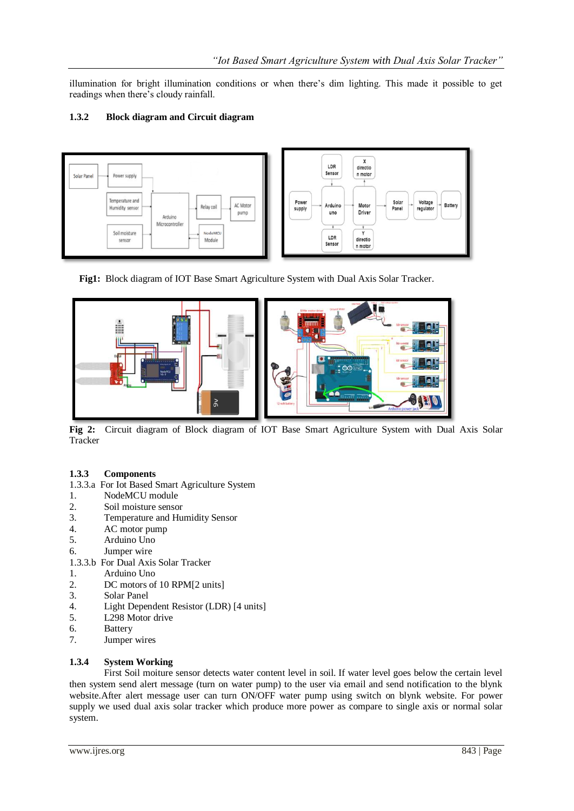illumination for bright illumination conditions or when there's dim lighting. This made it possible to get readings when there's cloudy rainfall.

## **1.3.2 Block diagram and Circuit diagram**



 **Fig1:** Block diagram of IOT Base Smart Agriculture System with Dual Axis Solar Tracker.



**Fig 2:** Circuit diagram of Block diagram of IOT Base Smart Agriculture System with Dual Axis Solar **Tracker** 

## **1.3.3 Components**

- 1.3.3.a For Iot Based Smart Agriculture System
- 1. NodeMCU module
- 2. Soil moisture sensor
- 3. Temperature and Humidity Sensor
- 4. AC motor pump
- 5. Arduino Uno
- 6. Jumper wire
- 1.3.3.b For Dual Axis Solar Tracker
- 1. Arduino Uno
- 2. DC motors of 10 RPM[2 units]
- 3. Solar Panel<br>4. Light Depen
- Light Dependent Resistor (LDR) [4 units]
- 5. L298 Motor drive
- 6. Battery
- 7. Jumper wires

## **1.3.4 System Working**

First Soil moiture sensor detects water content level in soil. If water level goes below the certain level then system send alert message (turn on water pump) to the user via email and send notification to the blynk website.After alert message user can turn ON/OFF water pump using switch on blynk website. For power supply we used dual axis solar tracker which produce more power as compare to single axis or normal solar system.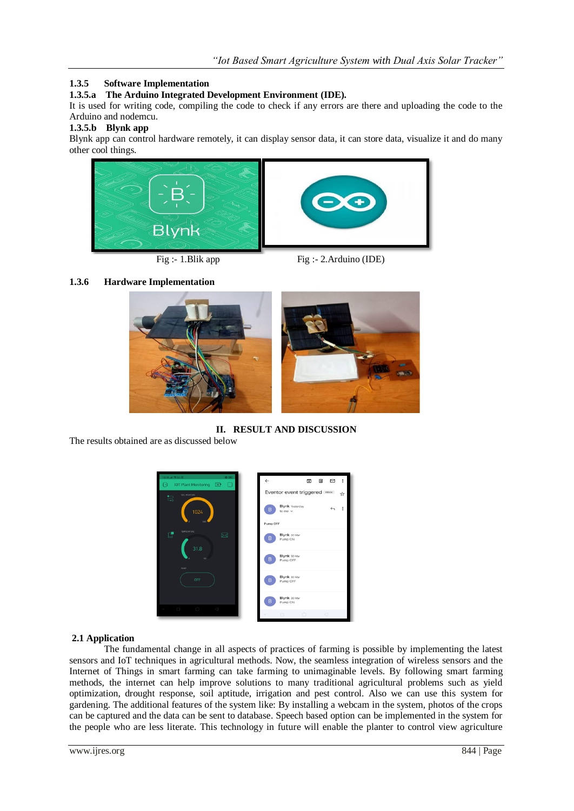# **1.3.5 Software Implementation**

**1.3.5.a The Arduino Integrated Development Environment (IDE).**

It is used for writing code, compiling the code to check if any errors are there and uploading the code to the Arduino and nodemcu.

## **1.3.5.b Blynk app**

Blynk app can control hardware remotely, it can display sensor data, it can store data, visualize it and do many other cool things.



Fig :- 1.Blik app Fig :- 2.Arduino (IDE)

# **1.3.6 Hardware Implementation**



**II. RESULT AND DISCUSSION**

The results obtained are as discussed below



## **2.1 Application**

The fundamental change in all aspects of practices of farming is possible by implementing the latest sensors and IoT techniques in agricultural methods. Now, the seamless integration of wireless sensors and the Internet of Things in smart farming can take farming to unimaginable levels. By following smart farming methods, the internet can help improve solutions to many traditional agricultural problems such as yield optimization, drought response, soil aptitude, irrigation and pest control. Also we can use this system for gardening. The additional features of the system like: By installing a webcam in the system, photos of the crops can be captured and the data can be sent to database. Speech based option can be implemented in the system for the people who are less literate. This technology in future will enable the planter to control view agriculture